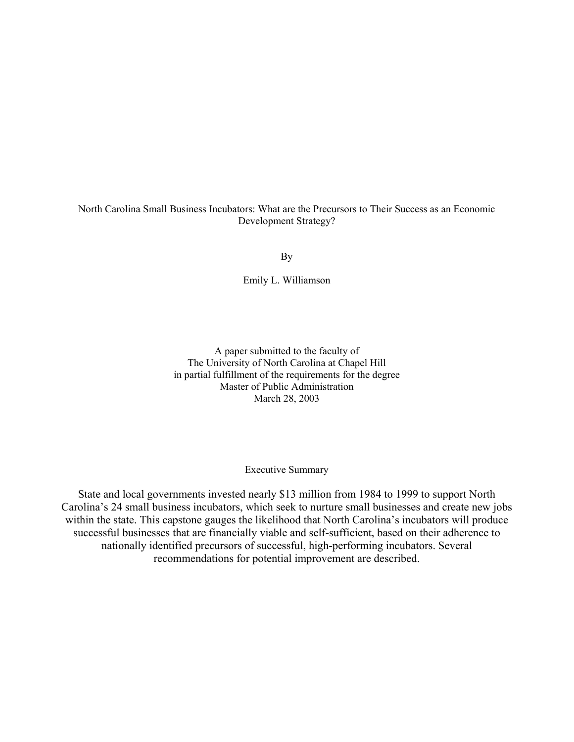## North Carolina Small Business Incubators: What are the Precursors to Their Success as an Economic Development Strategy?

By

Emily L. Williamson

A paper submitted to the faculty of The University of North Carolina at Chapel Hill in partial fulfillment of the requirements for the degree Master of Public Administration March 28, 2003

Executive Summary

State and local governments invested nearly \$13 million from 1984 to 1999 to support North Carolina's 24 small business incubators, which seek to nurture small businesses and create new jobs within the state. This capstone gauges the likelihood that North Carolina's incubators will produce successful businesses that are financially viable and self-sufficient, based on their adherence to nationally identified precursors of successful, high-performing incubators. Several recommendations for potential improvement are described.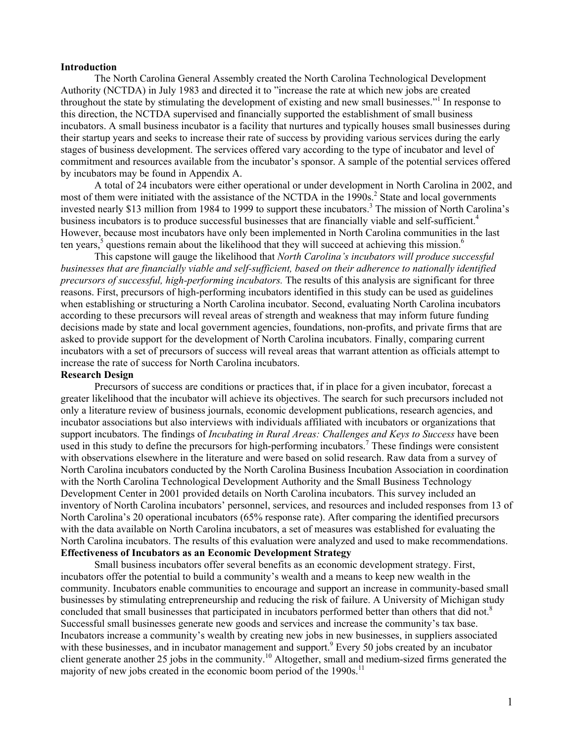### **Introduction**

The North Carolina General Assembly created the North Carolina Technological Development Authority (NCTDA) in July 1983 and directed it to "increase the rate at which new jobs are created throughout the state by stimulating the development of existing and new small businesses."<sup>1</sup> In response to this direction, the NCTDA supervised and financially supported the establishment of small business incubators. A small business incubator is a facility that nurtures and typically houses small businesses during their startup years and seeks to increase their rate of success by providing various services during the early stages of business development. The services offered vary according to the type of incubator and level of commitment and resources available from the incubator's sponsor. A sample of the potential services offered by incubators may be found in Appendix A.

A total of 24 incubators were either operational or under development in North Carolina in 2002, and most of them were initiated with the assistance of the NCTDA in the  $1990s$ <sup>2</sup> State and local governments invested nearly \$13 million from 1984 to 1999 to support these incubators.<sup>3</sup> The mission of North Carolina's business incubators is to produce successful businesses that are financially viable and self-sufficient.<sup>4</sup> However, because most incubators have only been implemented in North Carolina communities in the last ten years,<sup>5</sup> questions remain about the likelihood that they will succeed at achieving this mission.<sup>6</sup>

This capstone will gauge the likelihood that *North Carolina's incubators will produce successful businesses that are financially viable and self-sufficient, based on their adherence to nationally identified precursors of successful, high-performing incubators.* The results of this analysis are significant for three reasons. First, precursors of high-performing incubators identified in this study can be used as guidelines when establishing or structuring a North Carolina incubator. Second, evaluating North Carolina incubators according to these precursors will reveal areas of strength and weakness that may inform future funding decisions made by state and local government agencies, foundations, non-profits, and private firms that are asked to provide support for the development of North Carolina incubators. Finally, comparing current incubators with a set of precursors of success will reveal areas that warrant attention as officials attempt to increase the rate of success for North Carolina incubators.

#### **Research Design**

 Precursors of success are conditions or practices that, if in place for a given incubator, forecast a greater likelihood that the incubator will achieve its objectives. The search for such precursors included not only a literature review of business journals, economic development publications, research agencies, and incubator associations but also interviews with individuals affiliated with incubators or organizations that support incubators. The findings of *Incubating in Rural Areas: Challenges and Keys to Success* have been used in this study to define the precursors for high-performing incubators.<sup>7</sup> These findings were consistent with observations elsewhere in the literature and were based on solid research. Raw data from a survey of North Carolina incubators conducted by the North Carolina Business Incubation Association in coordination with the North Carolina Technological Development Authority and the Small Business Technology Development Center in 2001 provided details on North Carolina incubators. This survey included an inventory of North Carolina incubators' personnel, services, and resources and included responses from 13 of North Carolina's 20 operational incubators (65% response rate). After comparing the identified precursors with the data available on North Carolina incubators, a set of measures was established for evaluating the North Carolina incubators. The results of this evaluation were analyzed and used to make recommendations. **Effectiveness of Incubators as an Economic Development Strategy** 

 Small business incubators offer several benefits as an economic development strategy. First, incubators offer the potential to build a community's wealth and a means to keep new wealth in the community. Incubators enable communities to encourage and support an increase in community-based small businesses by stimulating entrepreneurship and reducing the risk of failure. A University of Michigan study concluded that small businesses that participated in incubators performed better than others that did not.<sup>8</sup> Successful small businesses generate new goods and services and increase the community's tax base. Incubators increase a community's wealth by creating new jobs in new businesses, in suppliers associated with these businesses, and in incubator management and support.<sup>9</sup> Every 50 jobs created by an incubator client generate another 25 jobs in the community.10 Altogether, small and medium-sized firms generated the majority of new jobs created in the economic boom period of the  $1990s$ <sup>11</sup>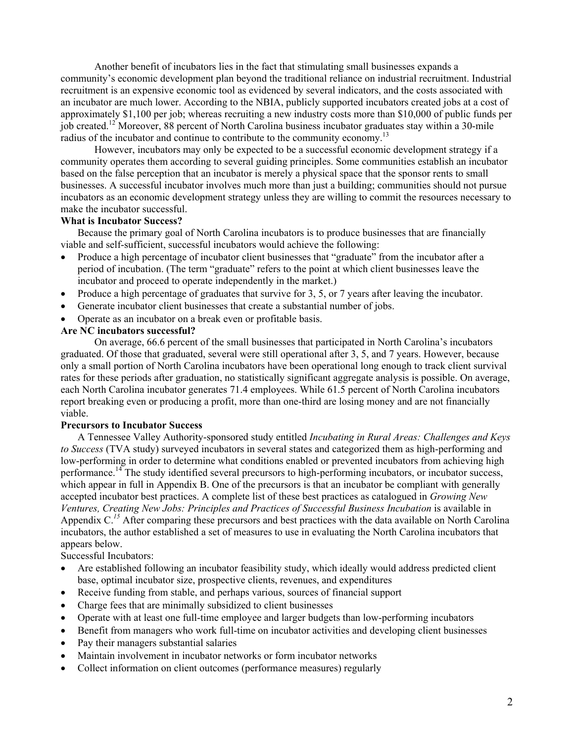Another benefit of incubators lies in the fact that stimulating small businesses expands a community's economic development plan beyond the traditional reliance on industrial recruitment. Industrial recruitment is an expensive economic tool as evidenced by several indicators, and the costs associated with an incubator are much lower. According to the NBIA, publicly supported incubators created jobs at a cost of approximately \$1,100 per job; whereas recruiting a new industry costs more than \$10,000 of public funds per job created.12 Moreover, 88 percent of North Carolina business incubator graduates stay within a 30-mile radius of the incubator and continue to contribute to the community economy.<sup>13</sup>

 However, incubators may only be expected to be a successful economic development strategy if a community operates them according to several guiding principles. Some communities establish an incubator based on the false perception that an incubator is merely a physical space that the sponsor rents to small businesses. A successful incubator involves much more than just a building; communities should not pursue incubators as an economic development strategy unless they are willing to commit the resources necessary to make the incubator successful.

#### **What is Incubator Success?**

Because the primary goal of North Carolina incubators is to produce businesses that are financially viable and self-sufficient, successful incubators would achieve the following:

- Produce a high percentage of incubator client businesses that "graduate" from the incubator after a period of incubation. (The term "graduate" refers to the point at which client businesses leave the incubator and proceed to operate independently in the market.)
- Produce a high percentage of graduates that survive for 3, 5, or 7 years after leaving the incubator.
- Generate incubator client businesses that create a substantial number of jobs.
- Operate as an incubator on a break even or profitable basis.

### **Are NC incubators successful?**

 On average, 66.6 percent of the small businesses that participated in North Carolina's incubators graduated. Of those that graduated, several were still operational after 3, 5, and 7 years. However, because only a small portion of North Carolina incubators have been operational long enough to track client survival rates for these periods after graduation, no statistically significant aggregate analysis is possible. On average, each North Carolina incubator generates 71.4 employees. While 61.5 percent of North Carolina incubators report breaking even or producing a profit, more than one-third are losing money and are not financially viable.

#### **Precursors to Incubator Success**

A Tennessee Valley Authority-sponsored study entitled *Incubating in Rural Areas: Challenges and Keys to Success* (TVA study) surveyed incubators in several states and categorized them as high-performing and low-performing in order to determine what conditions enabled or prevented incubators from achieving high performance.14 The study identified several precursors to high-performing incubators, or incubator success, which appear in full in Appendix B. One of the precursors is that an incubator be compliant with generally accepted incubator best practices. A complete list of these best practices as catalogued in *Growing New*  Ventures, Creating New Jobs: Principles and Practices of Successful Business Incubation is available in Appendix C.<sup>15</sup> After comparing these precursors and best practices with the data available on North Carolina incubators, the author established a set of measures to use in evaluating the North Carolina incubators that appears below.

Successful Incubators:

- Are established following an incubator feasibility study, which ideally would address predicted client base, optimal incubator size, prospective clients, revenues, and expenditures
- Receive funding from stable, and perhaps various, sources of financial support
- Charge fees that are minimally subsidized to client businesses
- Operate with at least one full-time employee and larger budgets than low-performing incubators
- Benefit from managers who work full-time on incubator activities and developing client businesses
- Pay their managers substantial salaries
- Maintain involvement in incubator networks or form incubator networks
- Collect information on client outcomes (performance measures) regularly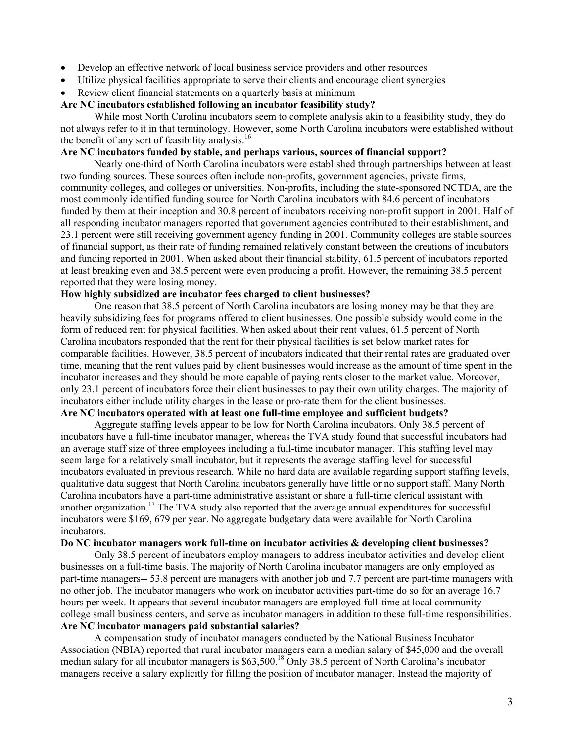- Develop an effective network of local business service providers and other resources
- Utilize physical facilities appropriate to serve their clients and encourage client synergies
- Review client financial statements on a quarterly basis at minimum

## **Are NC incubators established following an incubator feasibility study?**

While most North Carolina incubators seem to complete analysis akin to a feasibility study, they do not always refer to it in that terminology. However, some North Carolina incubators were established without the benefit of any sort of feasibility analysis.<sup>16</sup>

### **Are NC incubators funded by stable, and perhaps various, sources of financial support?**

 Nearly one-third of North Carolina incubators were established through partnerships between at least two funding sources. These sources often include non-profits, government agencies, private firms, community colleges, and colleges or universities. Non-profits, including the state-sponsored NCTDA, are the most commonly identified funding source for North Carolina incubators with 84.6 percent of incubators funded by them at their inception and 30.8 percent of incubators receiving non-profit support in 2001. Half of all responding incubator managers reported that government agencies contributed to their establishment, and 23.1 percent were still receiving government agency funding in 2001. Community colleges are stable sources of financial support, as their rate of funding remained relatively constant between the creations of incubators and funding reported in 2001. When asked about their financial stability, 61.5 percent of incubators reported at least breaking even and 38.5 percent were even producing a profit. However, the remaining 38.5 percent reported that they were losing money.

## **How highly subsidized are incubator fees charged to client businesses?**

 One reason that 38.5 percent of North Carolina incubators are losing money may be that they are heavily subsidizing fees for programs offered to client businesses. One possible subsidy would come in the form of reduced rent for physical facilities. When asked about their rent values, 61.5 percent of North Carolina incubators responded that the rent for their physical facilities is set below market rates for comparable facilities. However, 38.5 percent of incubators indicated that their rental rates are graduated over time, meaning that the rent values paid by client businesses would increase as the amount of time spent in the incubator increases and they should be more capable of paying rents closer to the market value. Moreover, only 23.1 percent of incubators force their client businesses to pay their own utility charges. The majority of incubators either include utility charges in the lease or pro-rate them for the client businesses.

# **Are NC incubators operated with at least one full-time employee and sufficient budgets?**

 Aggregate staffing levels appear to be low for North Carolina incubators. Only 38.5 percent of incubators have a full-time incubator manager, whereas the TVA study found that successful incubators had an average staff size of three employees including a full-time incubator manager. This staffing level may seem large for a relatively small incubator, but it represents the average staffing level for successful incubators evaluated in previous research. While no hard data are available regarding support staffing levels, qualitative data suggest that North Carolina incubators generally have little or no support staff. Many North Carolina incubators have a part-time administrative assistant or share a full-time clerical assistant with another organization.<sup>17</sup> The TVA study also reported that the average annual expenditures for successful incubators were \$169, 679 per year. No aggregate budgetary data were available for North Carolina incubators.

## **Do NC incubator managers work full-time on incubator activities & developing client businesses?**

 Only 38.5 percent of incubators employ managers to address incubator activities and develop client businesses on a full-time basis. The majority of North Carolina incubator managers are only employed as part-time managers-- 53.8 percent are managers with another job and 7.7 percent are part-time managers with no other job. The incubator managers who work on incubator activities part-time do so for an average 16.7 hours per week. It appears that several incubator managers are employed full-time at local community college small business centers, and serve as incubator managers in addition to these full-time responsibilities. **Are NC incubator managers paid substantial salaries?** 

 A compensation study of incubator managers conducted by the National Business Incubator Association (NBIA) reported that rural incubator managers earn a median salary of \$45,000 and the overall median salary for all incubator managers is \$63,500.<sup>18</sup> Only 38.5 percent of North Carolina's incubator managers receive a salary explicitly for filling the position of incubator manager. Instead the majority of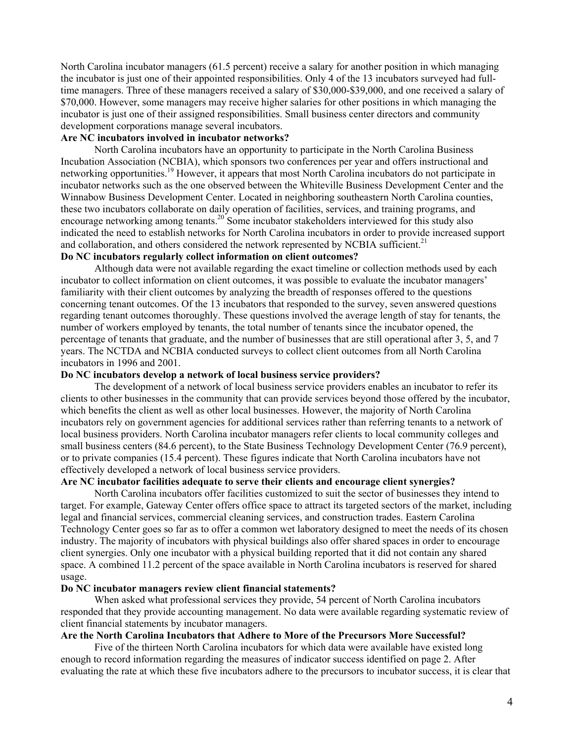North Carolina incubator managers (61.5 percent) receive a salary for another position in which managing the incubator is just one of their appointed responsibilities. Only 4 of the 13 incubators surveyed had fulltime managers. Three of these managers received a salary of \$30,000-\$39,000, and one received a salary of \$70,000. However, some managers may receive higher salaries for other positions in which managing the incubator is just one of their assigned responsibilities. Small business center directors and community development corporations manage several incubators.

## **Are NC incubators involved in incubator networks?**

 North Carolina incubators have an opportunity to participate in the North Carolina Business Incubation Association (NCBIA), which sponsors two conferences per year and offers instructional and networking opportunities.<sup>19</sup> However, it appears that most North Carolina incubators do not participate in incubator networks such as the one observed between the Whiteville Business Development Center and the Winnabow Business Development Center. Located in neighboring southeastern North Carolina counties, these two incubators collaborate on daily operation of facilities, services, and training programs, and encourage networking among tenants.<sup>20</sup> Some incubator stakeholders interviewed for this study also indicated the need to establish networks for North Carolina incubators in order to provide increased support and collaboration, and others considered the network represented by NCBIA sufficient.<sup>21</sup>

## **Do NC incubators regularly collect information on client outcomes?**

 Although data were not available regarding the exact timeline or collection methods used by each incubator to collect information on client outcomes, it was possible to evaluate the incubator managers' familiarity with their client outcomes by analyzing the breadth of responses offered to the questions concerning tenant outcomes. Of the 13 incubators that responded to the survey, seven answered questions regarding tenant outcomes thoroughly. These questions involved the average length of stay for tenants, the number of workers employed by tenants, the total number of tenants since the incubator opened, the percentage of tenants that graduate, and the number of businesses that are still operational after 3, 5, and 7 years. The NCTDA and NCBIA conducted surveys to collect client outcomes from all North Carolina incubators in 1996 and 2001.

#### **Do NC incubators develop a network of local business service providers?**

 The development of a network of local business service providers enables an incubator to refer its clients to other businesses in the community that can provide services beyond those offered by the incubator, which benefits the client as well as other local businesses. However, the majority of North Carolina incubators rely on government agencies for additional services rather than referring tenants to a network of local business providers. North Carolina incubator managers refer clients to local community colleges and small business centers (84.6 percent), to the State Business Technology Development Center (76.9 percent), or to private companies (15.4 percent). These figures indicate that North Carolina incubators have not effectively developed a network of local business service providers.

## **Are NC incubator facilities adequate to serve their clients and encourage client synergies?**

 North Carolina incubators offer facilities customized to suit the sector of businesses they intend to target. For example, Gateway Center offers office space to attract its targeted sectors of the market, including legal and financial services, commercial cleaning services, and construction trades. Eastern Carolina Technology Center goes so far as to offer a common wet laboratory designed to meet the needs of its chosen industry. The majority of incubators with physical buildings also offer shared spaces in order to encourage client synergies. Only one incubator with a physical building reported that it did not contain any shared space. A combined 11.2 percent of the space available in North Carolina incubators is reserved for shared usage.

### **Do NC incubator managers review client financial statements?**

When asked what professional services they provide, 54 percent of North Carolina incubators responded that they provide accounting management. No data were available regarding systematic review of client financial statements by incubator managers.

## **Are the North Carolina Incubators that Adhere to More of the Precursors More Successful?**

Five of the thirteen North Carolina incubators for which data were available have existed long enough to record information regarding the measures of indicator success identified on page 2. After evaluating the rate at which these five incubators adhere to the precursors to incubator success, it is clear that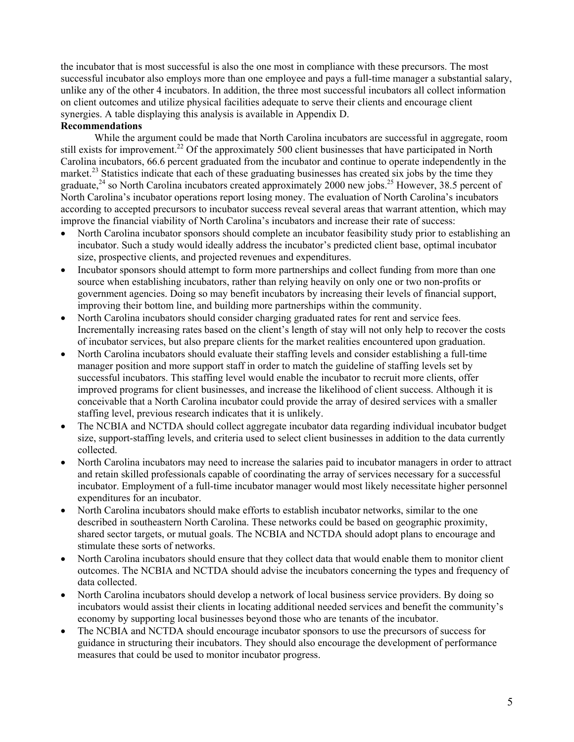the incubator that is most successful is also the one most in compliance with these precursors. The most successful incubator also employs more than one employee and pays a full-time manager a substantial salary, unlike any of the other 4 incubators. In addition, the three most successful incubators all collect information on client outcomes and utilize physical facilities adequate to serve their clients and encourage client synergies. A table displaying this analysis is available in Appendix D.

## **Recommendations**

While the argument could be made that North Carolina incubators are successful in aggregate, room still exists for improvement.<sup>22</sup> Of the approximately 500 client businesses that have participated in North Carolina incubators, 66.6 percent graduated from the incubator and continue to operate independently in the market.<sup>23</sup> Statistics indicate that each of these graduating businesses has created six jobs by the time they graduate, $^{24}$  so North Carolina incubators created approximately 2000 new jobs.<sup>25</sup> However, 38.5 percent of North Carolina's incubator operations report losing money. The evaluation of North Carolina's incubators according to accepted precursors to incubator success reveal several areas that warrant attention, which may improve the financial viability of North Carolina's incubators and increase their rate of success:

- North Carolina incubator sponsors should complete an incubator feasibility study prior to establishing an incubator. Such a study would ideally address the incubator's predicted client base, optimal incubator size, prospective clients, and projected revenues and expenditures.
- Incubator sponsors should attempt to form more partnerships and collect funding from more than one source when establishing incubators, rather than relying heavily on only one or two non-profits or government agencies. Doing so may benefit incubators by increasing their levels of financial support, improving their bottom line, and building more partnerships within the community.
- North Carolina incubators should consider charging graduated rates for rent and service fees. Incrementally increasing rates based on the client's length of stay will not only help to recover the costs of incubator services, but also prepare clients for the market realities encountered upon graduation.
- North Carolina incubators should evaluate their staffing levels and consider establishing a full-time manager position and more support staff in order to match the guideline of staffing levels set by successful incubators. This staffing level would enable the incubator to recruit more clients, offer improved programs for client businesses, and increase the likelihood of client success. Although it is conceivable that a North Carolina incubator could provide the array of desired services with a smaller staffing level, previous research indicates that it is unlikely.
- The NCBIA and NCTDA should collect aggregate incubator data regarding individual incubator budget size, support-staffing levels, and criteria used to select client businesses in addition to the data currently collected.
- North Carolina incubators may need to increase the salaries paid to incubator managers in order to attract and retain skilled professionals capable of coordinating the array of services necessary for a successful incubator. Employment of a full-time incubator manager would most likely necessitate higher personnel expenditures for an incubator.
- North Carolina incubators should make efforts to establish incubator networks, similar to the one described in southeastern North Carolina. These networks could be based on geographic proximity, shared sector targets, or mutual goals. The NCBIA and NCTDA should adopt plans to encourage and stimulate these sorts of networks.
- North Carolina incubators should ensure that they collect data that would enable them to monitor client outcomes. The NCBIA and NCTDA should advise the incubators concerning the types and frequency of data collected.
- North Carolina incubators should develop a network of local business service providers. By doing so incubators would assist their clients in locating additional needed services and benefit the community's economy by supporting local businesses beyond those who are tenants of the incubator.
- The NCBIA and NCTDA should encourage incubator sponsors to use the precursors of success for guidance in structuring their incubators. They should also encourage the development of performance measures that could be used to monitor incubator progress.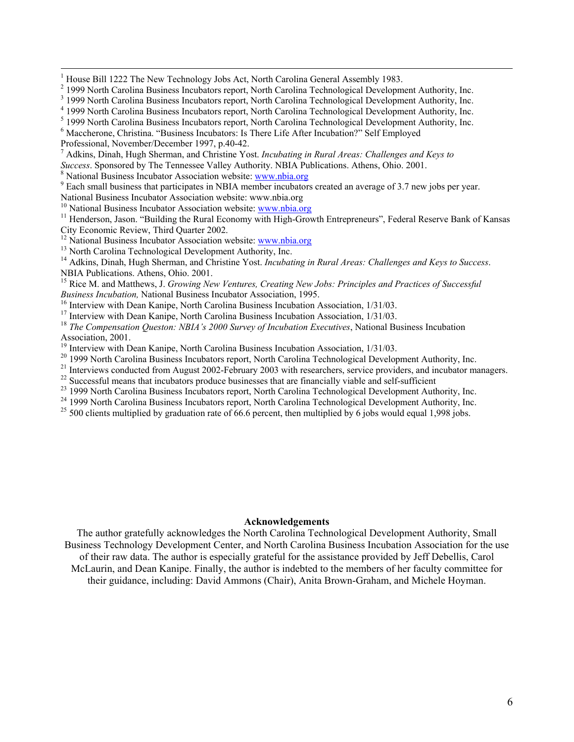$\frac{1}{1}$ 

<sup>1</sup> House Bill 1222 The New Technology Jobs Act, North Carolina General Assembly 1983.<br><sup>2</sup> 1999 North Carolina Business Incubators report, North Carolina Technological Development Authority, Inc.

Professional, November/December 1997, p.40-42.

7 Adkins, Dinah, Hugh Sherman, and Christine Yost. *Incubating in Rural Areas: Challenges and Keys to* 

*Success*. Sponsored by The Tennessee Valley Authority. NBIA Publications. Athens, Ohio. 2001.

<sup>8</sup> National Business Incubator Association website: www.nbia.org

<sup>9</sup> Each small business that participates in NBIA member incubators created an average of 3.7 new jobs per year.

National Business Incubator Association website: www.nbia.org<sup>10</sup> National Business Incubator Association website: www.nbia.org

<sup>11</sup> Henderson, Jason. "Building the Rural Economy with High-Growth Entrepreneurs", Federal Reserve Bank of Kansas City Economic Review, Third Quarter 2002.

<sup>12</sup> National Business Incubator Association website: www.nbia.org <sup>13</sup> North Carolina Technological Development Authority, Inc.

<sup>14</sup> Adkins, Dinah, Hugh Sherman, and Christine Yost. *Incubating in Rural Areas: Challenges and Keys to Success*. NBIA Publications. Athens, Ohio. 2001.

15 Rice M. and Matthews, J. *Growing New Ventures, Creating New Jobs: Principles and Practices of Successful Business Incubation,* National Business Incubator Association, 1995.<br><sup>16</sup> Interview with Dean Kanipe, North Carolina Business Incubation Association, 1/31/03.

<sup>17</sup> Interview with Dean Kanipe, North Carolina Business Incubation Association, 1/31/03.

<sup>18</sup> *The Compensation Queston: NBIA's 2000 Survey of Incubation Executives*, National Business Incubation Association, 2001.

<sup>19</sup> Interview with Dean Kanipe, North Carolina Business Incubation Association, 1/31/03.

<sup>20</sup> 1999 North Carolina Business Incubators report, North Carolina Technological Development Authority, Inc.

<sup>21</sup> Interviews conducted from August 2002-February 2003 with researchers, service providers, and incubator managers.<br><sup>22</sup> Successful means that incubators produce businesses that are financially viable and self-sufficien

<sup>23</sup> 1999 North Carolina Business Incubators report, North Carolina Technological Development Authority, Inc.

<sup>24</sup> 1999 North Carolina Business Incubators report, North Carolina Technological Development Authority, Inc.

<sup>25</sup> 500 clients multiplied by graduation rate of 66.6 percent, then multiplied by 6 jobs would equal 1,998 jobs.

#### **Acknowledgements**

The author gratefully acknowledges the North Carolina Technological Development Authority, Small Business Technology Development Center, and North Carolina Business Incubation Association for the use of their raw data. The author is especially grateful for the assistance provided by Jeff Debellis, Carol McLaurin, and Dean Kanipe. Finally, the author is indebted to the members of her faculty committee for their guidance, including: David Ammons (Chair), Anita Brown-Graham, and Michele Hoyman.

<sup>&</sup>lt;sup>3</sup> 1999 North Carolina Business Incubators report, North Carolina Technological Development Authority, Inc.

<sup>&</sup>lt;sup>4</sup> 1999 North Carolina Business Incubators report, North Carolina Technological Development Authority, Inc.

<sup>&</sup>lt;sup>5</sup> 1999 North Carolina Business Incubators report, North Carolina Technological Development Authority, Inc.

<sup>&</sup>lt;sup>6</sup> Maccherone, Christina. "Business Incubators: Is There Life After Incubation?" Self Employed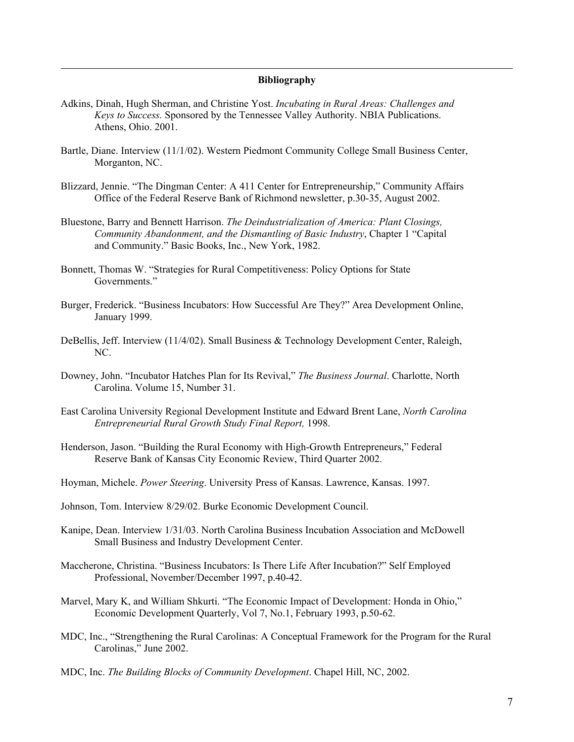#### **Bibliography**

Adkins, Dinah, Hugh Sherman, and Christine Yost. *Incubating in Rural Areas: Challenges and Keys to Success.* Sponsored by the Tennessee Valley Authority. NBIA Publications. Athens, Ohio. 2001.

1

- Bartle, Diane. Interview (11/1/02). Western Piedmont Community College Small Business Center, Morganton, NC.
- Blizzard, Jennie. "The Dingman Center: A 411 Center for Entrepreneurship," Community Affairs Office of the Federal Reserve Bank of Richmond newsletter, p.30-35, August 2002.
- Bluestone, Barry and Bennett Harrison. *The Deindustrialization of America: Plant Closings, Community Abandonment, and the Dismantling of Basic Industry*, Chapter 1 "Capital and Community." Basic Books, Inc., New York, 1982.
- Bonnett, Thomas W. "Strategies for Rural Competitiveness: Policy Options for State Governments<sup>"</sup>
- Burger, Frederick. "Business Incubators: How Successful Are They?" Area Development Online, January 1999.
- DeBellis, Jeff. Interview (11/4/02). Small Business & Technology Development Center, Raleigh, NC.
- Downey, John. "Incubator Hatches Plan for Its Revival," *The Business Journal*. Charlotte, North Carolina. Volume 15, Number 31.
- East Carolina University Regional Development Institute and Edward Brent Lane, *North Carolina Entrepreneurial Rural Growth Study Final Report,* 1998.
- Henderson, Jason. "Building the Rural Economy with High-Growth Entrepreneurs," Federal Reserve Bank of Kansas City Economic Review, Third Quarter 2002.
- Hoyman, Michele. *Power Steering*. University Press of Kansas. Lawrence, Kansas. 1997.
- Johnson, Tom. Interview 8/29/02. Burke Economic Development Council.
- Kanipe, Dean. Interview 1/31/03. North Carolina Business Incubation Association and McDowell Small Business and Industry Development Center.
- Maccherone, Christina. "Business Incubators: Is There Life After Incubation?" Self Employed Professional, November/December 1997, p.40-42.
- Marvel, Mary K, and William Shkurti. "The Economic Impact of Development: Honda in Ohio," Economic Development Quarterly, Vol 7, No.1, February 1993, p.50-62.
- MDC, Inc., "Strengthening the Rural Carolinas: A Conceptual Framework for the Program for the Rural Carolinas," June 2002.
- MDC, Inc. *The Building Blocks of Community Development*. Chapel Hill, NC, 2002.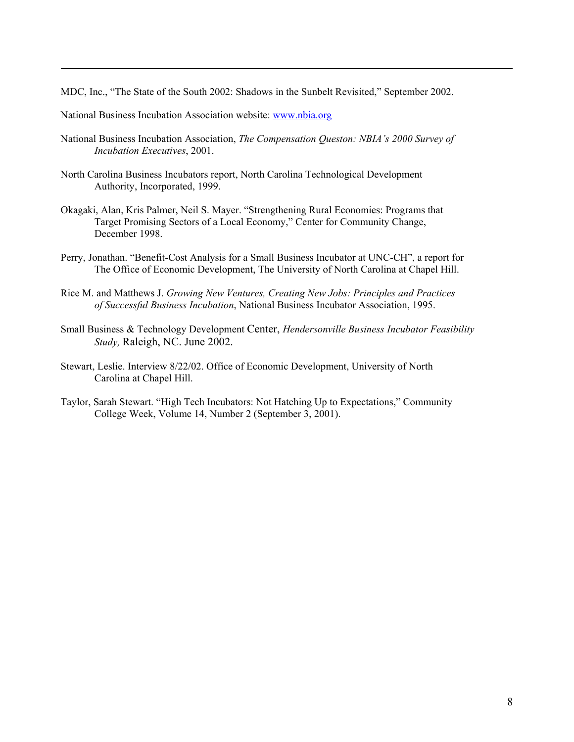MDC, Inc., "The State of the South 2002: Shadows in the Sunbelt Revisited," September 2002.

National Business Incubation Association website: www.nbia.org

1

- National Business Incubation Association, *The Compensation Queston: NBIA's 2000 Survey of Incubation Executives*, 2001.
- North Carolina Business Incubators report, North Carolina Technological Development Authority, Incorporated, 1999.
- Okagaki, Alan, Kris Palmer, Neil S. Mayer. "Strengthening Rural Economies: Programs that Target Promising Sectors of a Local Economy," Center for Community Change, December 1998.
- Perry, Jonathan. "Benefit-Cost Analysis for a Small Business Incubator at UNC-CH", a report for The Office of Economic Development, The University of North Carolina at Chapel Hill.
- Rice M. and Matthews J. *Growing New Ventures, Creating New Jobs: Principles and Practices of Successful Business Incubation*, National Business Incubator Association, 1995.
- Small Business & Technology Development Center, *Hendersonville Business Incubator Feasibility Study,* Raleigh, NC. June 2002.
- Stewart, Leslie. Interview 8/22/02. Office of Economic Development, University of North Carolina at Chapel Hill.
- Taylor, Sarah Stewart. "High Tech Incubators: Not Hatching Up to Expectations," Community College Week, Volume 14, Number 2 (September 3, 2001).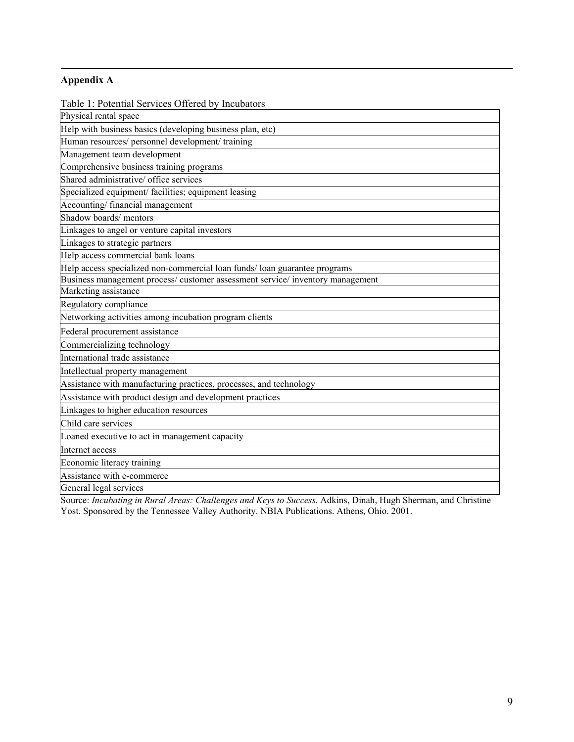# **Appendix A**

1

Table 1: Potential Services Offered by Incubators

| Physical rental space                                                          |
|--------------------------------------------------------------------------------|
| Help with business basics (developing business plan, etc)                      |
| Human resources/ personnel development/ training                               |
| Management team development                                                    |
| Comprehensive business training programs                                       |
| Shared administrative/ office services                                         |
| Specialized equipment/ facilities; equipment leasing                           |
| Accounting/financial management                                                |
| Shadow boards/mentors                                                          |
| Linkages to angel or venture capital investors                                 |
| Linkages to strategic partners                                                 |
| Help access commercial bank loans                                              |
| Help access specialized non-commercial loan funds/loan guarantee programs      |
| Business management process/ customer assessment service/ inventory management |
| Marketing assistance                                                           |
| Regulatory compliance                                                          |
| Networking activities among incubation program clients                         |
| Federal procurement assistance                                                 |
| Commercializing technology                                                     |
| International trade assistance                                                 |
| Intellectual property management                                               |
| Assistance with manufacturing practices, processes, and technology             |
| Assistance with product design and development practices                       |
| Linkages to higher education resources                                         |
| Child care services                                                            |
| Loaned executive to act in management capacity                                 |
| Internet access                                                                |
| Economic literacy training                                                     |
| Assistance with e-commerce                                                     |
| General legal services                                                         |

Source: *Incubating in Rural Areas: Challenges and Keys to Success*. Adkins, Dinah, Hugh Sherman, and Christine Yost. Sponsored by the Tennessee Valley Authority. NBIA Publications. Athens, Ohio. 2001.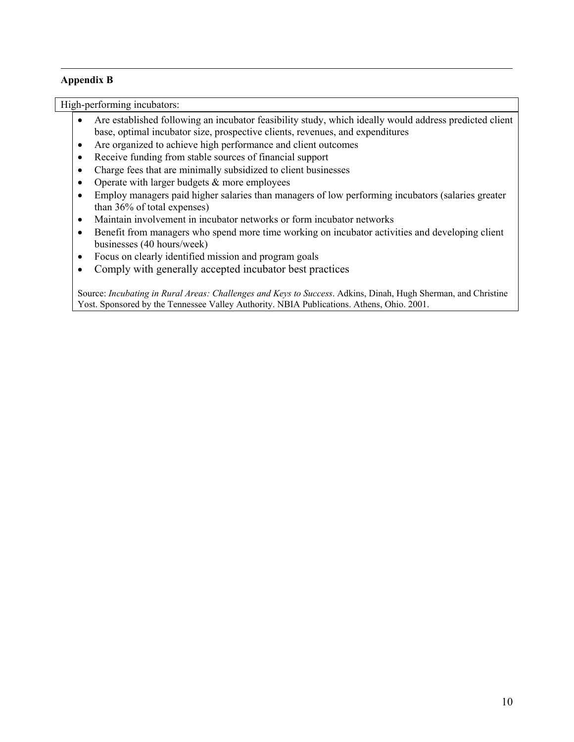## **Appendix B**

1

High-performing incubators:

- Are established following an incubator feasibility study, which ideally would address predicted client base, optimal incubator size, prospective clients, revenues, and expenditures
- Are organized to achieve high performance and client outcomes
- Receive funding from stable sources of financial support
- Charge fees that are minimally subsidized to client businesses
- Operate with larger budgets & more employees
- Employ managers paid higher salaries than managers of low performing incubators (salaries greater than 36% of total expenses)
- Maintain involvement in incubator networks or form incubator networks
- Benefit from managers who spend more time working on incubator activities and developing client businesses (40 hours/week)
- Focus on clearly identified mission and program goals
- Comply with generally accepted incubator best practices

Source: *Incubating in Rural Areas: Challenges and Keys to Success*. Adkins, Dinah, Hugh Sherman, and Christine Yost. Sponsored by the Tennessee Valley Authority. NBIA Publications. Athens, Ohio. 2001.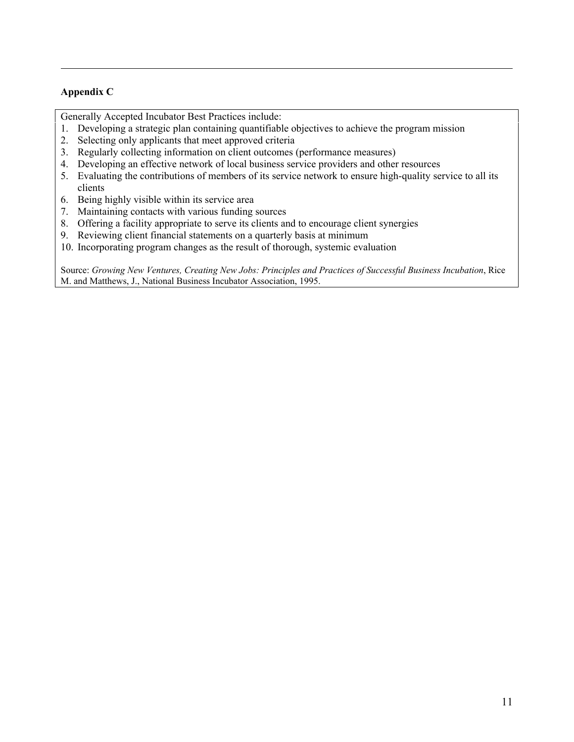## **Appendix C**

1

Generally Accepted Incubator Best Practices include:

- 1. Developing a strategic plan containing quantifiable objectives to achieve the program mission
- 2. Selecting only applicants that meet approved criteria
- 3. Regularly collecting information on client outcomes (performance measures)
- 4. Developing an effective network of local business service providers and other resources
- 5. Evaluating the contributions of members of its service network to ensure high-quality service to all its clients
- 6. Being highly visible within its service area
- 7. Maintaining contacts with various funding sources
- 8. Offering a facility appropriate to serve its clients and to encourage client synergies
- 9. Reviewing client financial statements on a quarterly basis at minimum
- 10. Incorporating program changes as the result of thorough, systemic evaluation

Source: *Growing New Ventures, Creating New Jobs: Principles and Practices of Successful Business Incubation*, Rice M. and Matthews, J., National Business Incubator Association, 1995.